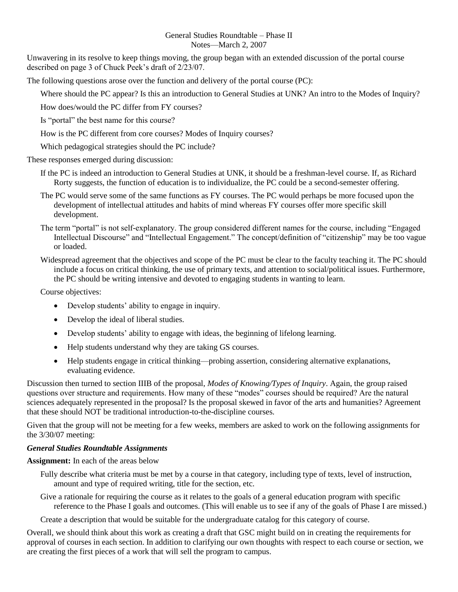## General Studies Roundtable – Phase II Notes—March 2, 2007

Unwavering in its resolve to keep things moving, the group began with an extended discussion of the portal course described on page 3 of Chuck Peek's draft of 2/23/07.

The following questions arose over the function and delivery of the portal course (PC):

Where should the PC appear? Is this an introduction to General Studies at UNK? An intro to the Modes of Inquiry?

How does/would the PC differ from FY courses?

Is "portal" the best name for this course?

How is the PC different from core courses? Modes of Inquiry courses?

Which pedagogical strategies should the PC include?

These responses emerged during discussion:

- If the PC is indeed an introduction to General Studies at UNK, it should be a freshman-level course. If, as Richard Rorty suggests, the function of education is to individualize, the PC could be a second-semester offering.
- The PC would serve some of the same functions as FY courses. The PC would perhaps be more focused upon the development of intellectual attitudes and habits of mind whereas FY courses offer more specific skill development.
- The term "portal" is not self-explanatory. The group considered different names for the course, including "Engaged Intellectual Discourse" and "Intellectual Engagement." The concept/definition of "citizenship" may be too vague or loaded.
- Widespread agreement that the objectives and scope of the PC must be clear to the faculty teaching it. The PC should include a focus on critical thinking, the use of primary texts, and attention to social/political issues. Furthermore, the PC should be writing intensive and devoted to engaging students in wanting to learn.

Course objectives:

- Develop students' ability to engage in inquiry.
- Develop the ideal of liberal studies.
- Develop students' ability to engage with ideas, the beginning of lifelong learning.
- Help students understand why they are taking GS courses.
- Help students engage in critical thinking—probing assertion, considering alternative explanations, evaluating evidence.

Discussion then turned to section IIIB of the proposal, *Modes of Knowing/Types of Inquiry*. Again, the group raised questions over structure and requirements. How many of these "modes" courses should be required? Are the natural sciences adequately represented in the proposal? Is the proposal skewed in favor of the arts and humanities? Agreement that these should NOT be traditional introduction-to-the-discipline courses.

Given that the group will not be meeting for a few weeks, members are asked to work on the following assignments for the 3/30/07 meeting:

## *General Studies Roundtable Assignments*

**Assignment:** In each of the areas below

- Fully describe what criteria must be met by a course in that category, including type of texts, level of instruction, amount and type of required writing, title for the section, etc.
- Give a rationale for requiring the course as it relates to the goals of a general education program with specific reference to the Phase I goals and outcomes. (This will enable us to see if any of the goals of Phase I are missed.)

Create a description that would be suitable for the undergraduate catalog for this category of course.

Overall, we should think about this work as creating a draft that GSC might build on in creating the requirements for approval of courses in each section. In addition to clarifying our own thoughts with respect to each course or section, we are creating the first pieces of a work that will sell the program to campus.